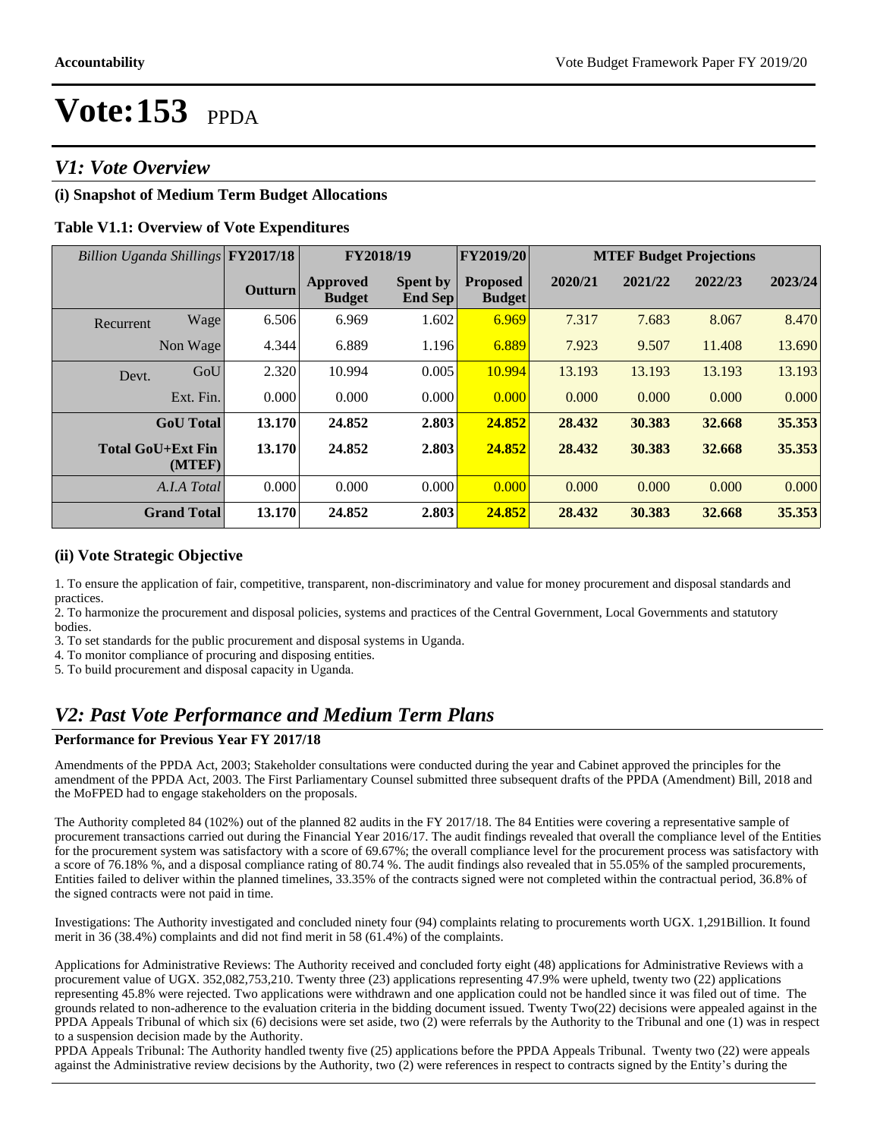## *V1: Vote Overview*

## **(i) Snapshot of Medium Term Budget Allocations**

### **Table V1.1: Overview of Vote Expenditures**

| Billion Uganda Shillings FY2017/18 |                    |                |                           | FY2018/19                         | FY2019/20                        | <b>MTEF Budget Projections</b> |         |         |         |
|------------------------------------|--------------------|----------------|---------------------------|-----------------------------------|----------------------------------|--------------------------------|---------|---------|---------|
|                                    |                    | <b>Outturn</b> | Approved<br><b>Budget</b> | <b>Spent by</b><br><b>End Sep</b> | <b>Proposed</b><br><b>Budget</b> | 2020/21                        | 2021/22 | 2022/23 | 2023/24 |
| Recurrent                          | Wage               | 6.506          | 6.969                     | 1.602                             | 6.969                            | 7.317                          | 7.683   | 8.067   | 8.470   |
|                                    | Non Wage           | 4.344          | 6.889                     | 1.196                             | 6.889                            | 7.923                          | 9.507   | 11.408  | 13.690  |
| Devt.                              | GoU                | 2.320          | 10.994                    | 0.005                             | 10.994                           | 13.193                         | 13.193  | 13.193  | 13.193  |
|                                    | Ext. Fin.          | 0.000          | 0.000                     | 0.000                             | 0.000                            | 0.000                          | 0.000   | 0.000   | 0.000   |
|                                    | <b>GoU</b> Total   | 13.170         | 24.852                    | 2.803                             | 24.852                           | 28.432                         | 30.383  | 32.668  | 35.353  |
| <b>Total GoU+Ext Fin</b>           | (MTEF)             | 13.170         | 24.852                    | 2.803                             | 24.852                           | 28.432                         | 30.383  | 32.668  | 35.353  |
|                                    | A.I.A Total        | 0.000          | 0.000                     | 0.000                             | 0.000                            | 0.000                          | 0.000   | 0.000   | 0.000   |
|                                    | <b>Grand Total</b> | 13.170         | 24.852                    | 2.803                             | 24.852                           | 28.432                         | 30.383  | 32.668  | 35.353  |

### **(ii) Vote Strategic Objective**

1. To ensure the application of fair, competitive, transparent, non-discriminatory and value for money procurement and disposal standards and practices.

2. To harmonize the procurement and disposal policies, systems and practices of the Central Government, Local Governments and statutory bodies.

3. To set standards for the public procurement and disposal systems in Uganda.

4. To monitor compliance of procuring and disposing entities.

5. To build procurement and disposal capacity in Uganda.

## *V2: Past Vote Performance and Medium Term Plans*

### **Performance for Previous Year FY 2017/18**

Amendments of the PPDA Act, 2003; Stakeholder consultations were conducted during the year and Cabinet approved the principles for the amendment of the PPDA Act, 2003. The First Parliamentary Counsel submitted three subsequent drafts of the PPDA (Amendment) Bill, 2018 and the MoFPED had to engage stakeholders on the proposals.

The Authority completed 84 (102%) out of the planned 82 audits in the FY 2017/18. The 84 Entities were covering a representative sample of procurement transactions carried out during the Financial Year 2016/17. The audit findings revealed that overall the compliance level of the Entities for the procurement system was satisfactory with a score of 69.67%; the overall compliance level for the procurement process was satisfactory with a score of 76.18% %, and a disposal compliance rating of 80.74 %. The audit findings also revealed that in 55.05% of the sampled procurements, Entities failed to deliver within the planned timelines, 33.35% of the contracts signed were not completed within the contractual period, 36.8% of the signed contracts were not paid in time.

Investigations: The Authority investigated and concluded ninety four (94) complaints relating to procurements worth UGX. 1,291Billion. It found merit in 36 (38.4%) complaints and did not find merit in 58 (61.4%) of the complaints.

Applications for Administrative Reviews: The Authority received and concluded forty eight (48) applications for Administrative Reviews with a procurement value of UGX. 352,082,753,210. Twenty three (23) applications representing 47.9% were upheld, twenty two (22) applications representing 45.8% were rejected. Two applications were withdrawn and one application could not be handled since it was filed out of time. The grounds related to non-adherence to the evaluation criteria in the bidding document issued. Twenty Two(22) decisions were appealed against in the PPDA Appeals Tribunal of which six (6) decisions were set aside, two (2) were referrals by the Authority to the Tribunal and one (1) was in respect to a suspension decision made by the Authority.

PPDA Appeals Tribunal: The Authority handled twenty five (25) applications before the PPDA Appeals Tribunal. Twenty two (22) were appeals against the Administrative review decisions by the Authority, two (2) were references in respect to contracts signed by the Entity's during the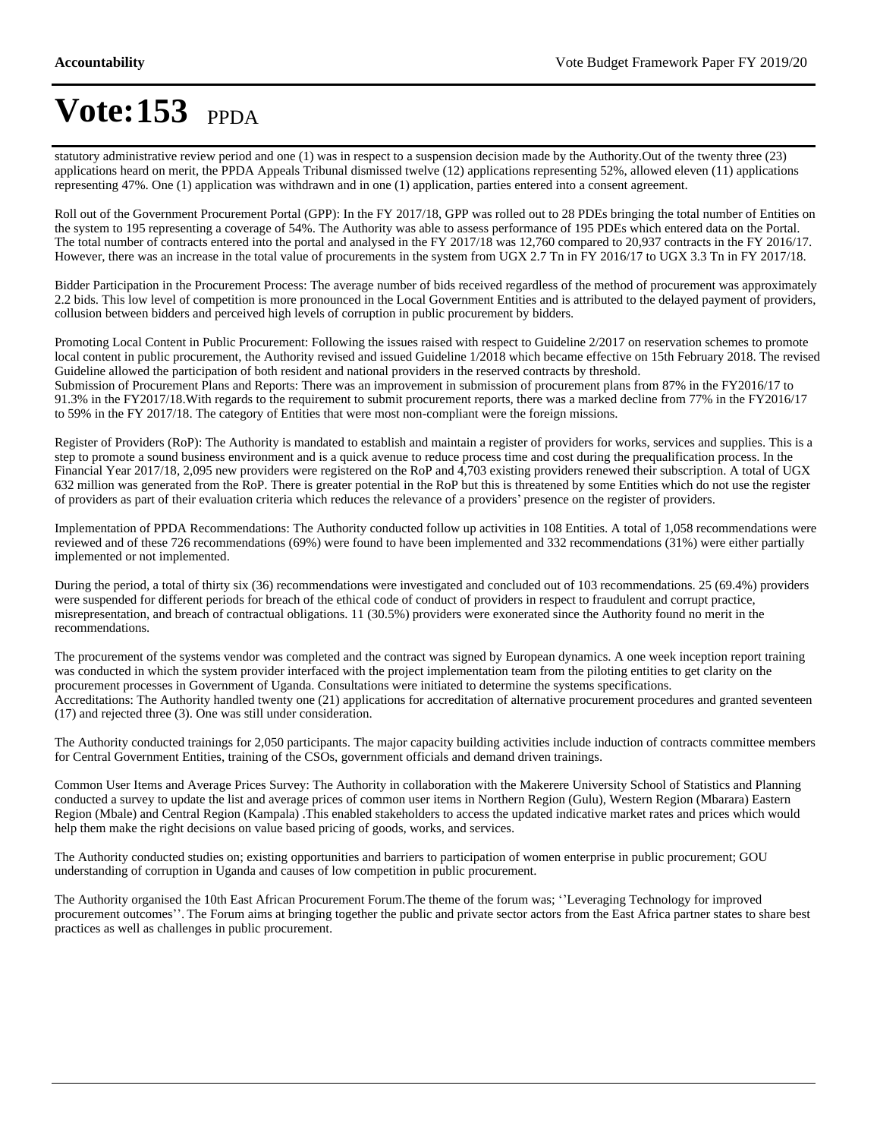statutory administrative review period and one (1) was in respect to a suspension decision made by the Authority.Out of the twenty three (23) applications heard on merit, the PPDA Appeals Tribunal dismissed twelve (12) applications representing 52%, allowed eleven (11) applications representing 47%. One (1) application was withdrawn and in one (1) application, parties entered into a consent agreement.

Roll out of the Government Procurement Portal (GPP): In the FY 2017/18, GPP was rolled out to 28 PDEs bringing the total number of Entities on the system to 195 representing a coverage of 54%. The Authority was able to assess performance of 195 PDEs which entered data on the Portal. The total number of contracts entered into the portal and analysed in the FY 2017/18 was 12,760 compared to 20,937 contracts in the FY 2016/17. However, there was an increase in the total value of procurements in the system from UGX 2.7 Tn in FY 2016/17 to UGX 3.3 Tn in FY 2017/18.

Bidder Participation in the Procurement Process: The average number of bids received regardless of the method of procurement was approximately 2.2 bids. This low level of competition is more pronounced in the Local Government Entities and is attributed to the delayed payment of providers, collusion between bidders and perceived high levels of corruption in public procurement by bidders.

Promoting Local Content in Public Procurement: Following the issues raised with respect to Guideline 2/2017 on reservation schemes to promote local content in public procurement, the Authority revised and issued Guideline 1/2018 which became effective on 15th February 2018. The revised Guideline allowed the participation of both resident and national providers in the reserved contracts by threshold. Submission of Procurement Plans and Reports: There was an improvement in submission of procurement plans from 87% in the FY2016/17 to 91.3% in the FY2017/18.With regards to the requirement to submit procurement reports, there was a marked decline from 77% in the FY2016/17 to 59% in the FY 2017/18. The category of Entities that were most non-compliant were the foreign missions.

Register of Providers (RoP): The Authority is mandated to establish and maintain a register of providers for works, services and supplies. This is a step to promote a sound business environment and is a quick avenue to reduce process time and cost during the prequalification process. In the Financial Year 2017/18, 2,095 new providers were registered on the RoP and 4,703 existing providers renewed their subscription. A total of UGX 632 million was generated from the RoP. There is greater potential in the RoP but this is threatened by some Entities which do not use the register of providers as part of their evaluation criteria which reduces the relevance of a providers' presence on the register of providers.

Implementation of PPDA Recommendations: The Authority conducted follow up activities in 108 Entities. A total of 1,058 recommendations were reviewed and of these 726 recommendations (69%) were found to have been implemented and 332 recommendations (31%) were either partially implemented or not implemented.

During the period, a total of thirty six (36) recommendations were investigated and concluded out of 103 recommendations. 25 (69.4%) providers were suspended for different periods for breach of the ethical code of conduct of providers in respect to fraudulent and corrupt practice, misrepresentation, and breach of contractual obligations. 11 (30.5%) providers were exonerated since the Authority found no merit in the recommendations.

The procurement of the systems vendor was completed and the contract was signed by European dynamics. A one week inception report training was conducted in which the system provider interfaced with the project implementation team from the piloting entities to get clarity on the procurement processes in Government of Uganda. Consultations were initiated to determine the systems specifications. Accreditations: The Authority handled twenty one (21) applications for accreditation of alternative procurement procedures and granted seventeen (17) and rejected three (3). One was still under consideration.

The Authority conducted trainings for 2,050 participants. The major capacity building activities include induction of contracts committee members for Central Government Entities, training of the CSOs, government officials and demand driven trainings.

Common User Items and Average Prices Survey: The Authority in collaboration with the Makerere University School of Statistics and Planning conducted a survey to update the list and average prices of common user items in Northern Region (Gulu), Western Region (Mbarara) Eastern Region (Mbale) and Central Region (Kampala) .This enabled stakeholders to access the updated indicative market rates and prices which would help them make the right decisions on value based pricing of goods, works, and services.

The Authority conducted studies on; existing opportunities and barriers to participation of women enterprise in public procurement; GOU understanding of corruption in Uganda and causes of low competition in public procurement.

The Authority organised the 10th East African Procurement Forum.The theme of the forum was; "Leveraging Technology for improved procurement outcomes". The Forum aims at bringing together the public and private sector actors from the East Africa partner states to share best practices as well as challenges in public procurement.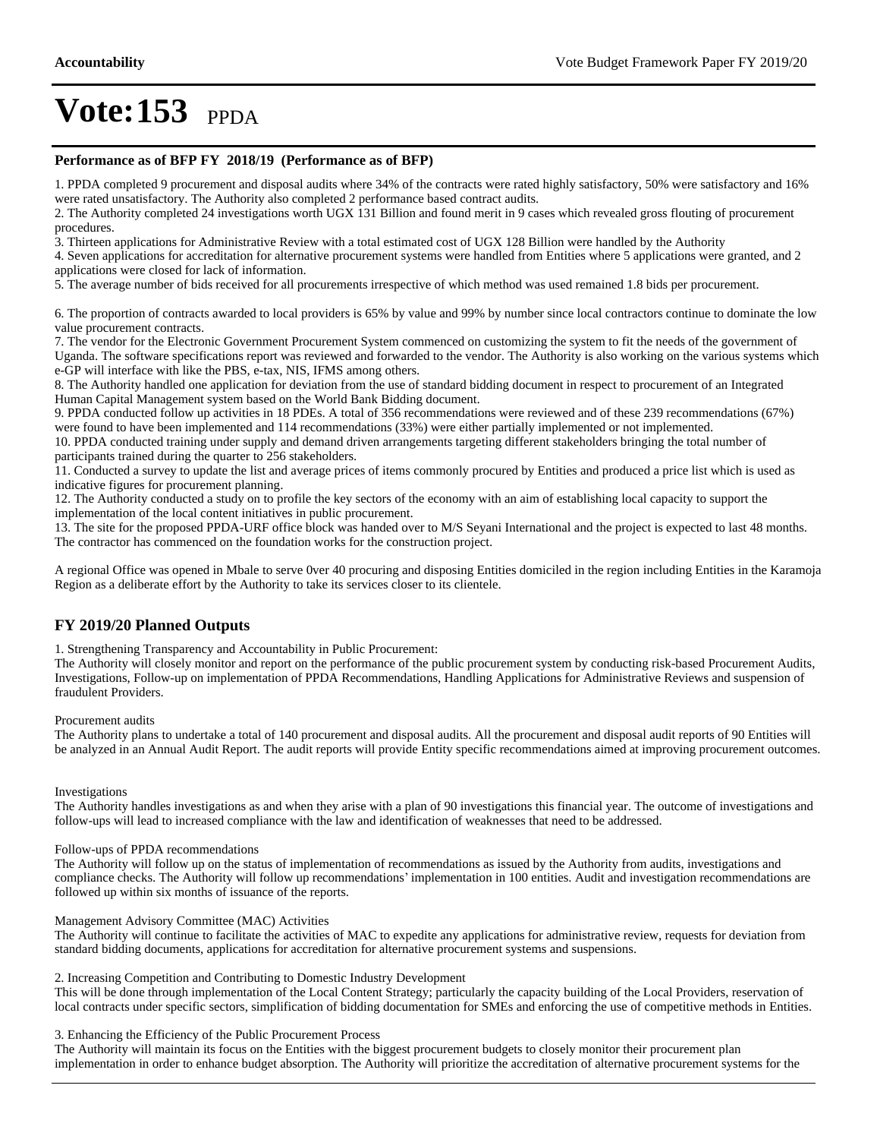#### **Performance as of BFP FY 2018/19 (Performance as of BFP)**

1. PPDA completed 9 procurement and disposal audits where 34% of the contracts were rated highly satisfactory, 50% were satisfactory and 16% were rated unsatisfactory. The Authority also completed 2 performance based contract audits.

2. The Authority completed 24 investigations worth UGX 131 Billion and found merit in 9 cases which revealed gross flouting of procurement procedures.

3. Thirteen applications for Administrative Review with a total estimated cost of UGX 128 Billion were handled by the Authority

4. Seven applications for accreditation for alternative procurement systems were handled from Entities where 5 applications were granted, and 2 applications were closed for lack of information.

5. The average number of bids received for all procurements irrespective of which method was used remained 1.8 bids per procurement.

6. The proportion of contracts awarded to local providers is 65% by value and 99% by number since local contractors continue to dominate the low value procurement contracts.

7. The vendor for the Electronic Government Procurement System commenced on customizing the system to fit the needs of the government of Uganda. The software specifications report was reviewed and forwarded to the vendor. The Authority is also working on the various systems which e-GP will interface with like the PBS, e-tax, NIS, IFMS among others.

8. The Authority handled one application for deviation from the use of standard bidding document in respect to procurement of an Integrated Human Capital Management system based on the World Bank Bidding document.

9. PPDA conducted follow up activities in 18 PDEs. A total of 356 recommendations were reviewed and of these 239 recommendations (67%) were found to have been implemented and 114 recommendations (33%) were either partially implemented or not implemented.

10. PPDA conducted training under supply and demand driven arrangements targeting different stakeholders bringing the total number of participants trained during the quarter to 256 stakeholders.

11. Conducted a survey to update the list and average prices of items commonly procured by Entities and produced a price list which is used as indicative figures for procurement planning.

12. The Authority conducted a study on to profile the key sectors of the economy with an aim of establishing local capacity to support the implementation of the local content initiatives in public procurement.

13. The site for the proposed PPDA-URF office block was handed over to M/S Seyani International and the project is expected to last 48 months. The contractor has commenced on the foundation works for the construction project.

A regional Office was opened in Mbale to serve 0ver 40 procuring and disposing Entities domiciled in the region including Entities in the Karamoja Region as a deliberate effort by the Authority to take its services closer to its clientele.

### **FY 2019/20 Planned Outputs**

1. Strengthening Transparency and Accountability in Public Procurement:

The Authority will closely monitor and report on the performance of the public procurement system by conducting risk-based Procurement Audits, Investigations, Follow-up on implementation of PPDA Recommendations, Handling Applications for Administrative Reviews and suspension of fraudulent Providers.

#### Procurement audits

The Authority plans to undertake a total of 140 procurement and disposal audits. All the procurement and disposal audit reports of 90 Entities will be analyzed in an Annual Audit Report. The audit reports will provide Entity specific recommendations aimed at improving procurement outcomes.

#### Investigations

The Authority handles investigations as and when they arise with a plan of 90 investigations this financial year. The outcome of investigations and follow-ups will lead to increased compliance with the law and identification of weaknesses that need to be addressed.

#### Follow-ups of PPDA recommendations

The Authority will follow up on the status of implementation of recommendations as issued by the Authority from audits, investigations and compliance checks. The Authority will follow up recommendations' implementation in 100 entities. Audit and investigation recommendations are followed up within six months of issuance of the reports.

#### Management Advisory Committee (MAC) Activities

The Authority will continue to facilitate the activities of MAC to expedite any applications for administrative review, requests for deviation from standard bidding documents, applications for accreditation for alternative procurement systems and suspensions.

#### 2. Increasing Competition and Contributing to Domestic Industry Development

This will be done through implementation of the Local Content Strategy; particularly the capacity building of the Local Providers, reservation of local contracts under specific sectors, simplification of bidding documentation for SMEs and enforcing the use of competitive methods in Entities.

#### 3. Enhancing the Efficiency of the Public Procurement Process

The Authority will maintain its focus on the Entities with the biggest procurement budgets to closely monitor their procurement plan implementation in order to enhance budget absorption. The Authority will prioritize the accreditation of alternative procurement systems for the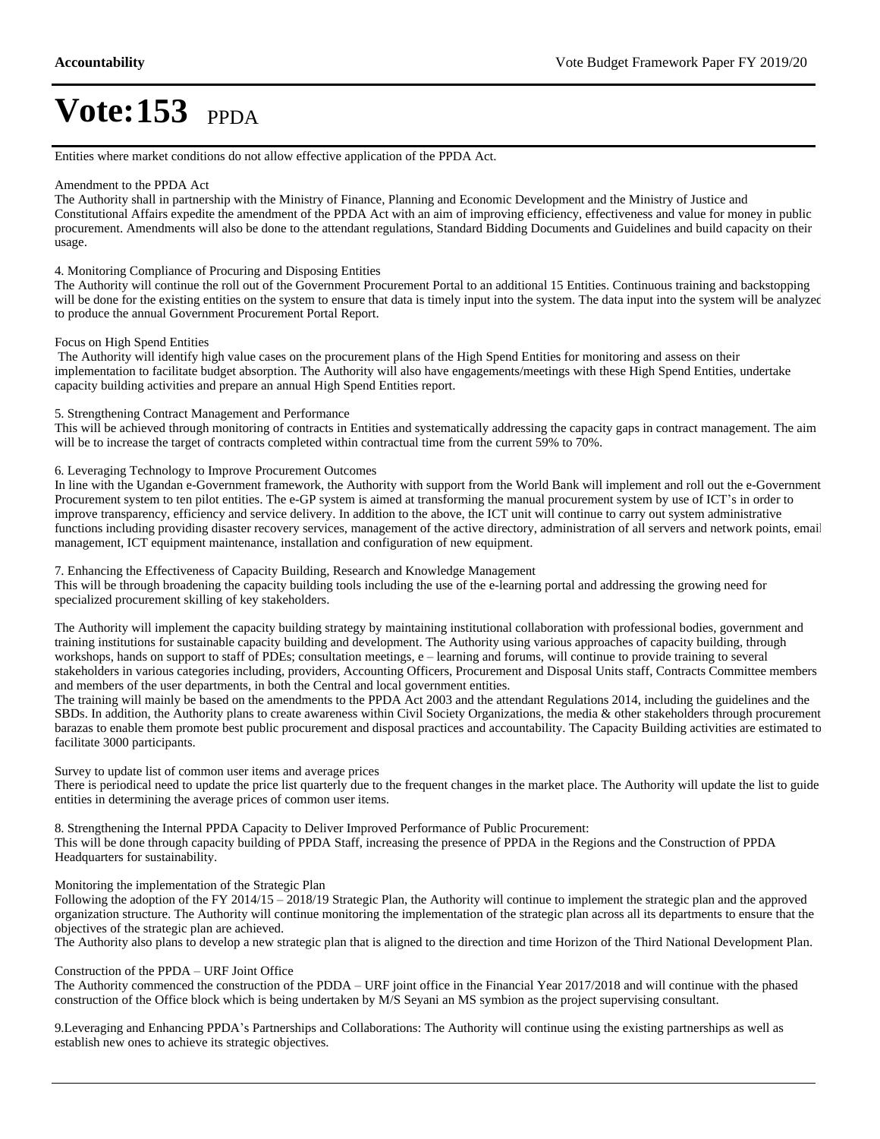Entities where market conditions do not allow effective application of the PPDA Act.

#### Amendment to the PPDA Act

The Authority shall in partnership with the Ministry of Finance, Planning and Economic Development and the Ministry of Justice and Constitutional Affairs expedite the amendment of the PPDA Act with an aim of improving efficiency, effectiveness and value for money in public procurement. Amendments will also be done to the attendant regulations, Standard Bidding Documents and Guidelines and build capacity on their usage.

#### 4. Monitoring Compliance of Procuring and Disposing Entities

The Authority will continue the roll out of the Government Procurement Portal to an additional 15 Entities. Continuous training and backstopping will be done for the existing entities on the system to ensure that data is timely input into the system. The data input into the system will be analyzed to produce the annual Government Procurement Portal Report.

#### Focus on High Spend Entities

 The Authority will identify high value cases on the procurement plans of the High Spend Entities for monitoring and assess on their implementation to facilitate budget absorption. The Authority will also have engagements/meetings with these High Spend Entities, undertake capacity building activities and prepare an annual High Spend Entities report.

#### 5. Strengthening Contract Management and Performance

This will be achieved through monitoring of contracts in Entities and systematically addressing the capacity gaps in contract management. The aim will be to increase the target of contracts completed within contractual time from the current 59% to 70%.

#### 6. Leveraging Technology to Improve Procurement Outcomes

In line with the Ugandan e-Government framework, the Authority with support from the World Bank will implement and roll out the e-Government Procurement system to ten pilot entities. The e-GP system is aimed at transforming the manual procurement system by use of ICT's in order to improve transparency, efficiency and service delivery. In addition to the above, the ICT unit will continue to carry out system administrative functions including providing disaster recovery services, management of the active directory, administration of all servers and network points, email management, ICT equipment maintenance, installation and configuration of new equipment.

#### 7. Enhancing the Effectiveness of Capacity Building, Research and Knowledge Management

This will be through broadening the capacity building tools including the use of the e-learning portal and addressing the growing need for specialized procurement skilling of key stakeholders.

The Authority will implement the capacity building strategy by maintaining institutional collaboration with professional bodies, government and training institutions for sustainable capacity building and development. The Authority using various approaches of capacity building, through workshops, hands on support to staff of PDEs; consultation meetings, e – learning and forums, will continue to provide training to several stakeholders in various categories including, providers, Accounting Officers, Procurement and Disposal Units staff, Contracts Committee members and members of the user departments, in both the Central and local government entities.

The training will mainly be based on the amendments to the PPDA Act 2003 and the attendant Regulations 2014, including the guidelines and the SBDs. In addition, the Authority plans to create awareness within Civil Society Organizations, the media & other stakeholders through procurement barazas to enable them promote best public procurement and disposal practices and accountability. The Capacity Building activities are estimated to facilitate 3000 participants.

#### Survey to update list of common user items and average prices

There is periodical need to update the price list quarterly due to the frequent changes in the market place. The Authority will update the list to guide entities in determining the average prices of common user items.

8. Strengthening the Internal PPDA Capacity to Deliver Improved Performance of Public Procurement: This will be done through capacity building of PPDA Staff, increasing the presence of PPDA in the Regions and the Construction of PPDA Headquarters for sustainability.

#### Monitoring the implementation of the Strategic Plan

Following the adoption of the FY 2014/15  $-$  2018/19 Strategic Plan, the Authority will continue to implement the strategic plan and the approved organization structure. The Authority will continue monitoring the implementation of the strategic plan across all its departments to ensure that the objectives of the strategic plan are achieved.

The Authority also plans to develop a new strategic plan that is aligned to the direction and time Horizon of the Third National Development Plan.

#### Construction of the PPDA - URF Joint Office

The Authority commenced the construction of the PDDA  $-$  URF joint office in the Financial Year 2017/2018 and will continue with the phased construction of the Office block which is being undertaken by M/S Seyani an MS symbion as the project supervising consultant.

9. Leveraging and Enhancing PPDA's Partnerships and Collaborations: The Authority will continue using the existing partnerships as well as establish new ones to achieve its strategic objectives.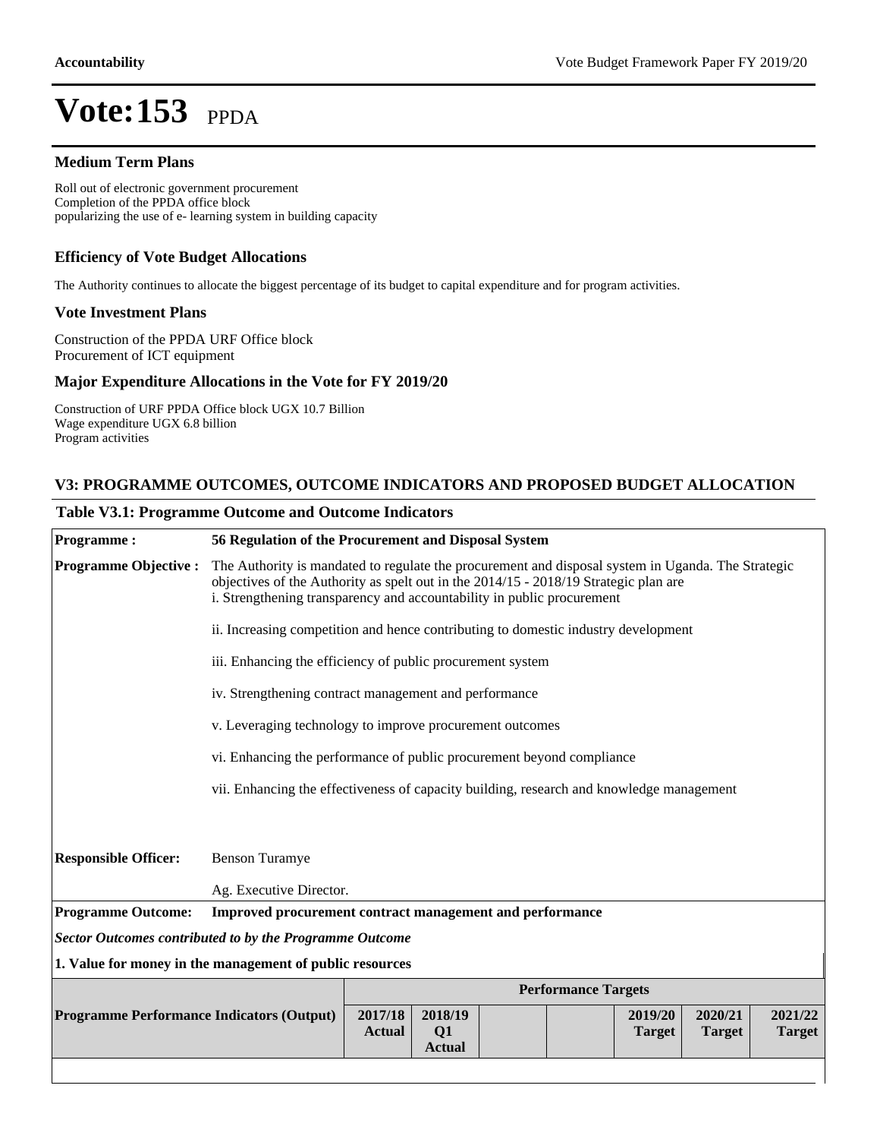### **Medium Term Plans**

Roll out of electronic government procurement Completion of the PPDA office block popularizing the use of e- learning system in building capacity

### **Efficiency of Vote Budget Allocations**

The Authority continues to allocate the biggest percentage of its budget to capital expenditure and for program activities.

### **Vote Investment Plans**

Construction of the PPDA URF Office block Procurement of ICT equipment

### **Major Expenditure Allocations in the Vote for FY 2019/20**

Construction of URF PPDA Office block UGX 10.7 Billion Wage expenditure UGX 6.8 billion Program activities

### **V3: PROGRAMME OUTCOMES, OUTCOME INDICATORS AND PROPOSED BUDGET ALLOCATION**

#### **Table V3.1: Programme Outcome and Outcome Indicators**

| <b>Programme:</b>                                        | 56 Regulation of the Procurement and Disposal System                                                                                                                                                                                                                 |                                                                                    |  |  |                            |                          |                          |  |
|----------------------------------------------------------|----------------------------------------------------------------------------------------------------------------------------------------------------------------------------------------------------------------------------------------------------------------------|------------------------------------------------------------------------------------|--|--|----------------------------|--------------------------|--------------------------|--|
| <b>Programme Objective:</b>                              | The Authority is mandated to regulate the procurement and disposal system in Uganda. The Strategic<br>objectives of the Authority as spelt out in the 2014/15 - 2018/19 Strategic plan are<br>i. Strengthening transparency and accountability in public procurement |                                                                                    |  |  |                            |                          |                          |  |
|                                                          |                                                                                                                                                                                                                                                                      | ii. Increasing competition and hence contributing to domestic industry development |  |  |                            |                          |                          |  |
|                                                          | iii. Enhancing the efficiency of public procurement system                                                                                                                                                                                                           |                                                                                    |  |  |                            |                          |                          |  |
|                                                          | iv. Strengthening contract management and performance                                                                                                                                                                                                                |                                                                                    |  |  |                            |                          |                          |  |
|                                                          | v. Leveraging technology to improve procurement outcomes                                                                                                                                                                                                             |                                                                                    |  |  |                            |                          |                          |  |
|                                                          | vi. Enhancing the performance of public procurement beyond compliance                                                                                                                                                                                                |                                                                                    |  |  |                            |                          |                          |  |
|                                                          | vii. Enhancing the effectiveness of capacity building, research and knowledge management                                                                                                                                                                             |                                                                                    |  |  |                            |                          |                          |  |
|                                                          |                                                                                                                                                                                                                                                                      |                                                                                    |  |  |                            |                          |                          |  |
| <b>Responsible Officer:</b>                              | <b>Benson Turamye</b>                                                                                                                                                                                                                                                |                                                                                    |  |  |                            |                          |                          |  |
|                                                          | Ag. Executive Director.                                                                                                                                                                                                                                              |                                                                                    |  |  |                            |                          |                          |  |
| <b>Programme Outcome:</b>                                | Improved procurement contract management and performance                                                                                                                                                                                                             |                                                                                    |  |  |                            |                          |                          |  |
| Sector Outcomes contributed to by the Programme Outcome  |                                                                                                                                                                                                                                                                      |                                                                                    |  |  |                            |                          |                          |  |
| 1. Value for money in the management of public resources |                                                                                                                                                                                                                                                                      |                                                                                    |  |  |                            |                          |                          |  |
|                                                          |                                                                                                                                                                                                                                                                      |                                                                                    |  |  | <b>Performance Targets</b> |                          |                          |  |
| <b>Programme Performance Indicators (Output)</b>         | 2017/18<br><b>Actual</b>                                                                                                                                                                                                                                             | 2018/19<br>Q1<br><b>Actual</b>                                                     |  |  | 2019/20<br><b>Target</b>   | 2020/21<br><b>Target</b> | 2021/22<br><b>Target</b> |  |
|                                                          |                                                                                                                                                                                                                                                                      |                                                                                    |  |  |                            |                          |                          |  |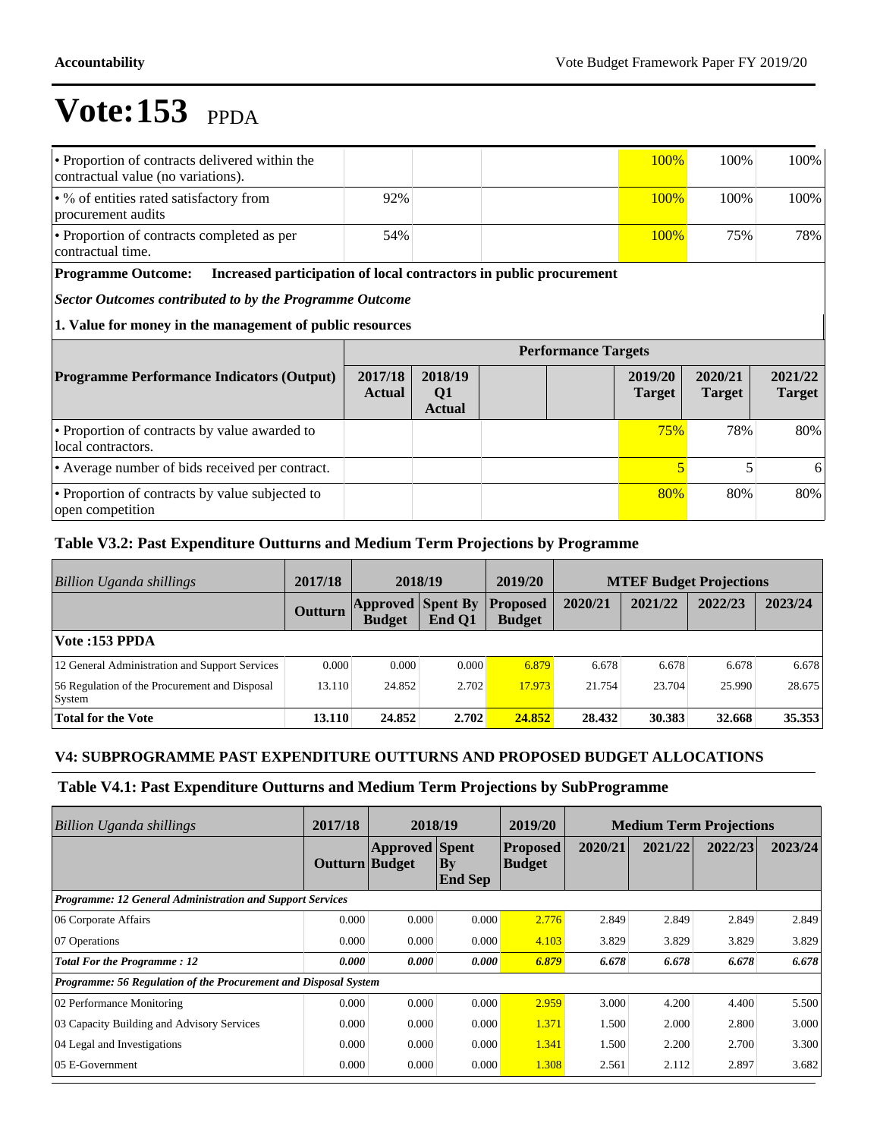open competition

## **Vote:153** PPDA

| • Proportion of contracts delivered within the<br>contractual value (no variations). |                                                                    |                                            |  | 100%                     | 100%                     | 100%                     |  |  |
|--------------------------------------------------------------------------------------|--------------------------------------------------------------------|--------------------------------------------|--|--------------------------|--------------------------|--------------------------|--|--|
| • % of entities rated satisfactory from<br>procurement audits                        | 92%                                                                |                                            |  | 100%                     | 100%                     | 100%                     |  |  |
| • Proportion of contracts completed as per<br>contractual time.                      | 54%                                                                |                                            |  | 100%                     | 75%                      | 78%                      |  |  |
| <b>Programme Outcome:</b>                                                            | Increased participation of local contractors in public procurement |                                            |  |                          |                          |                          |  |  |
|                                                                                      | <b>Sector Outcomes contributed to by the Programme Outcome</b>     |                                            |  |                          |                          |                          |  |  |
| 1. Value for money in the management of public resources                             |                                                                    |                                            |  |                          |                          |                          |  |  |
|                                                                                      | <b>Performance Targets</b>                                         |                                            |  |                          |                          |                          |  |  |
| <b>Programme Performance Indicators (Output)</b>                                     | 2017/18<br><b>Actual</b>                                           | 2018/19<br>Q <sub>1</sub><br><b>Actual</b> |  | 2019/20<br><b>Target</b> | 2020/21<br><b>Target</b> | 2021/22<br><b>Target</b> |  |  |
| • Proportion of contracts by value awarded to<br>local contractors.                  |                                                                    |                                            |  | 75%                      | 78%                      | 80%                      |  |  |
| • Average number of bids received per contract.                                      |                                                                    |                                            |  | $\overline{\mathbf{5}}$  |                          | 6                        |  |  |
| • Proportion of contracts by value subjected to                                      |                                                                    |                                            |  | 80%                      | 80%                      | 80%                      |  |  |

## **Table V3.2: Past Expenditure Outturns and Medium Term Projections by Programme**

| <b>Billion Uganda shillings</b>                         | 2017/18        | 2018/19                                   |        | 2019/20                          | <b>MTEF Budget Projections</b> |         |         |         |
|---------------------------------------------------------|----------------|-------------------------------------------|--------|----------------------------------|--------------------------------|---------|---------|---------|
|                                                         | <b>Outturn</b> | <b>Approved Spent By</b><br><b>Budget</b> | End O1 | <b>Proposed</b><br><b>Budget</b> | 2020/21                        | 2021/22 | 2022/23 | 2023/24 |
| Vote:153 PPDA                                           |                |                                           |        |                                  |                                |         |         |         |
| 12 General Administration and Support Services          | 0.000          | 0.000                                     | 0.000  | 6.879                            | 6.678                          | 6.678   | 6.678   | 6.678   |
| 56 Regulation of the Procurement and Disposal<br>System | 13.110         | 24.852                                    | 2.702  | 17.973                           | 21.754                         | 23.704  | 25.990  | 28.675  |
| <b>Total for the Vote</b>                               | 13.110         | 24.852                                    | 2.702  | 24.852                           | 28.432                         | 30.383  | 32.668  | 35.353  |

### **V4: SUBPROGRAMME PAST EXPENDITURE OUTTURNS AND PROPOSED BUDGET ALLOCATIONS**

## **Table V4.1: Past Expenditure Outturns and Medium Term Projections by SubProgramme**

| Billion Uganda shillings                                        | 2017/18        | 2018/19               |                          | 2019/20                          | <b>Medium Term Projections</b> |         |         |         |
|-----------------------------------------------------------------|----------------|-----------------------|--------------------------|----------------------------------|--------------------------------|---------|---------|---------|
|                                                                 | Outturn Budget | <b>Approved Spent</b> | $ $ By<br><b>End Sep</b> | <b>Proposed</b><br><b>Budget</b> | 2020/21                        | 2021/22 | 2022/23 | 2023/24 |
| Programme: 12 General Administration and Support Services       |                |                       |                          |                                  |                                |         |         |         |
| 06 Corporate Affairs                                            | 0.000          | 0.000                 | 0.000                    | 2.776                            | 2.849                          | 2.849   | 2.849   | 2.849   |
| 07 Operations                                                   | 0.000          | 0.000                 | 0.000                    | 4.103                            | 3.829                          | 3.829   | 3.829   | 3.829   |
| <b>Total For the Programme: 12</b>                              | 0.000          | 0.000                 | 0.000                    | 6.879                            | 6.678                          | 6.678   | 6.678   | 6.678   |
| Programme: 56 Regulation of the Procurement and Disposal System |                |                       |                          |                                  |                                |         |         |         |
| 02 Performance Monitoring                                       | 0.000          | 0.000                 | 0.000                    | 2.959                            | 3.000                          | 4.200   | 4.400   | 5.500   |
| 03 Capacity Building and Advisory Services                      | 0.000          | 0.000                 | 0.000                    | 1.371                            | 1.500                          | 2.000   | 2.800   | 3.000   |
| 04 Legal and Investigations                                     | 0.000          | 0.000                 | 0.000                    | 1.341                            | 1.500                          | 2.200   | 2.700   | 3.300   |
| 05 E-Government                                                 | 0.000          | 0.000                 | 0.000                    | 1.308                            | 2.561                          | 2.112   | 2.897   | 3.682   |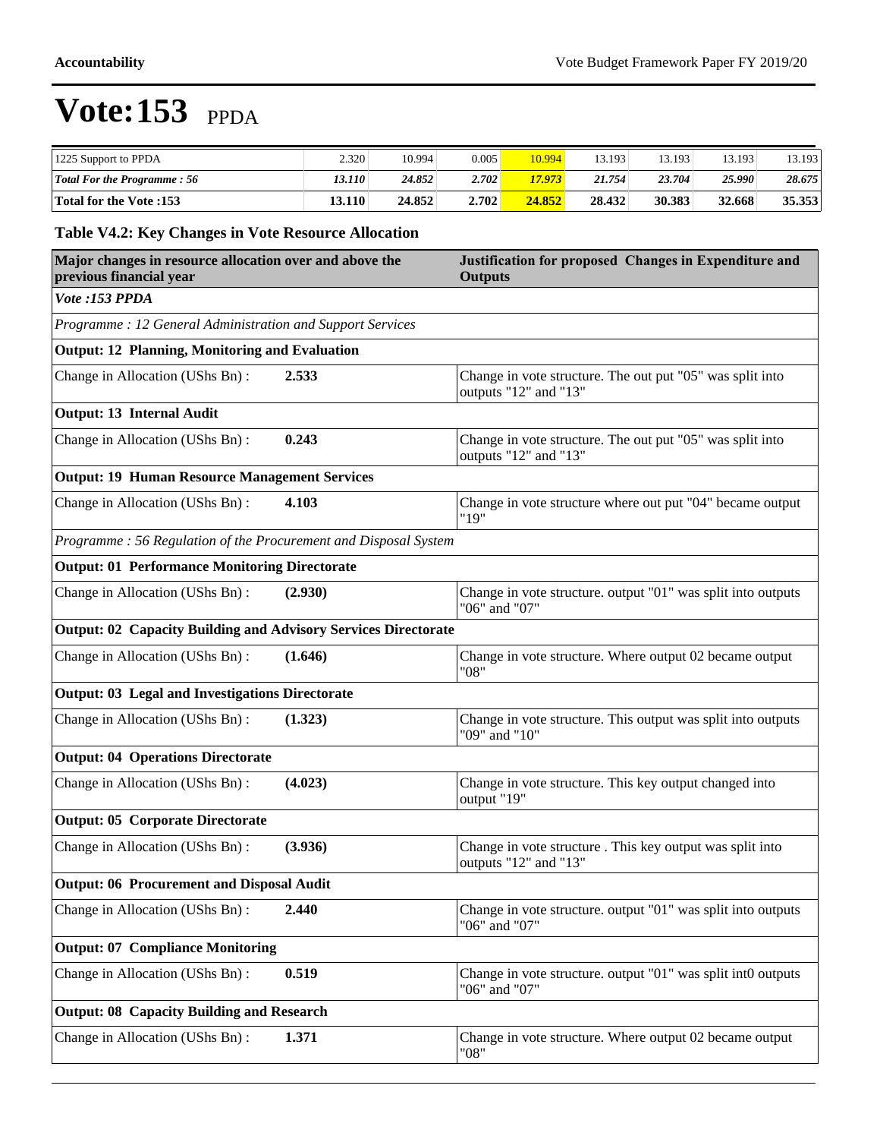| 1225 Support to PPDA               | 2.320         | 10.994 | 0.005 | 10.994 | 13.193 | 13.193 | 13.193 | 3.193  |
|------------------------------------|---------------|--------|-------|--------|--------|--------|--------|--------|
| <b>Total For the Programme: 56</b> | 13.110        | 24.852 | 2.702 | 17.973 | 21.754 | 23.704 | 25.990 | 28.675 |
| <b>Total for the Vote :153</b>     | <b>13.110</b> | 24.852 | 2.702 | 24.852 | 28.432 | 30.383 | 32.668 | 35.353 |

## **Table V4.2: Key Changes in Vote Resource Allocation**

| Major changes in resource allocation over and above the<br>previous financial year | <b>Justification for proposed Changes in Expenditure and</b><br><b>Outputs</b>     |
|------------------------------------------------------------------------------------|------------------------------------------------------------------------------------|
| Vote:153 PPDA                                                                      |                                                                                    |
| Programme: 12 General Administration and Support Services                          |                                                                                    |
| <b>Output: 12 Planning, Monitoring and Evaluation</b>                              |                                                                                    |
| 2.533<br>Change in Allocation (UShs Bn):                                           | Change in vote structure. The out put "05" was split into<br>outputs "12" and "13" |
| <b>Output: 13 Internal Audit</b>                                                   |                                                                                    |
| 0.243<br>Change in Allocation (UShs Bn):                                           | Change in vote structure. The out put "05" was split into<br>outputs "12" and "13" |
| <b>Output: 19 Human Resource Management Services</b>                               |                                                                                    |
| 4.103<br>Change in Allocation (UShs Bn):                                           | Change in vote structure where out put "04" became output<br>"19"                  |
| Programme: 56 Regulation of the Procurement and Disposal System                    |                                                                                    |
| <b>Output: 01 Performance Monitoring Directorate</b>                               |                                                                                    |
| Change in Allocation (UShs Bn):<br>(2.930)                                         | Change in vote structure. output "01" was split into outputs<br>"06" and "07"      |
| <b>Output: 02 Capacity Building and Advisory Services Directorate</b>              |                                                                                    |
| Change in Allocation (UShs Bn):<br>(1.646)                                         | Change in vote structure. Where output 02 became output<br>"08"                    |
| <b>Output: 03 Legal and Investigations Directorate</b>                             |                                                                                    |
| (1.323)<br>Change in Allocation (UShs Bn):                                         | Change in vote structure. This output was split into outputs<br>"09" and "10"      |
| <b>Output: 04 Operations Directorate</b>                                           |                                                                                    |
| Change in Allocation (UShs Bn):<br>(4.023)                                         | Change in vote structure. This key output changed into<br>output "19"              |
| <b>Output: 05 Corporate Directorate</b>                                            |                                                                                    |
| (3.936)<br>Change in Allocation (UShs Bn):                                         | Change in vote structure . This key output was split into<br>outputs "12" and "13" |
| <b>Output: 06 Procurement and Disposal Audit</b>                                   |                                                                                    |
| Change in Allocation (UShs Bn):<br>2.440                                           | Change in vote structure. output "01" was split into outputs<br>"06" and "07"      |
| <b>Output: 07 Compliance Monitoring</b>                                            |                                                                                    |
| 0.519<br>Change in Allocation (UShs Bn):                                           | Change in vote structure. output "01" was split int0 outputs<br>"06" and "07"      |
| <b>Output: 08 Capacity Building and Research</b>                                   |                                                                                    |
| 1.371<br>Change in Allocation (UShs Bn):                                           | Change in vote structure. Where output 02 became output<br>"08"                    |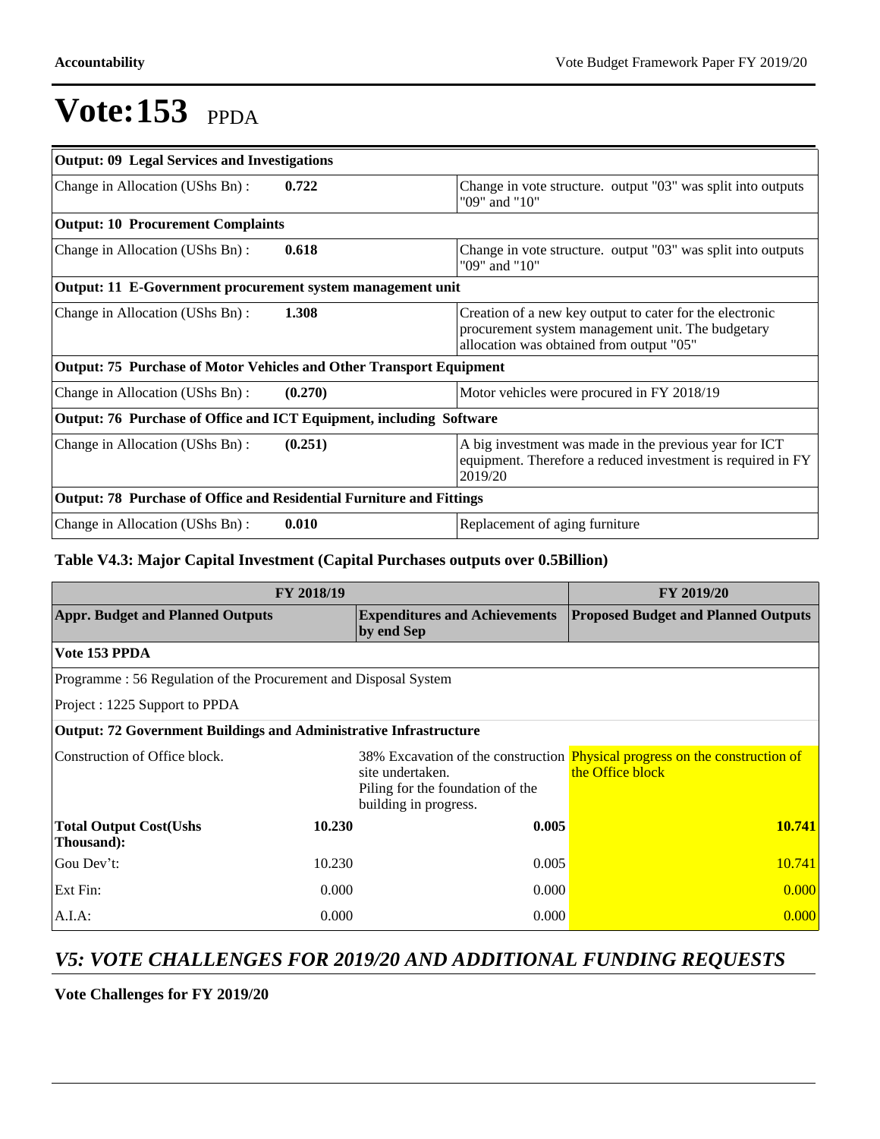| <b>Output: 09 Legal Services and Investigations</b>                         |         |                                                                                                                                                           |  |  |  |  |
|-----------------------------------------------------------------------------|---------|-----------------------------------------------------------------------------------------------------------------------------------------------------------|--|--|--|--|
| Change in Allocation (UShs Bn):                                             | 0.722   | Change in vote structure. output "03" was split into outputs<br>"09" and "10"                                                                             |  |  |  |  |
| <b>Output: 10 Procurement Complaints</b>                                    |         |                                                                                                                                                           |  |  |  |  |
| Change in Allocation (UShs Bn):                                             | 0.618   | Change in vote structure. output "03" was split into outputs<br>"09" and "10"                                                                             |  |  |  |  |
| Output: 11 E-Government procurement system management unit                  |         |                                                                                                                                                           |  |  |  |  |
| Change in Allocation (UShs Bn):                                             | 1.308   | Creation of a new key output to cater for the electronic<br>procurement system management unit. The budgetary<br>allocation was obtained from output "05" |  |  |  |  |
| <b>Output: 75 Purchase of Motor Vehicles and Other Transport Equipment</b>  |         |                                                                                                                                                           |  |  |  |  |
| Change in Allocation (UShs Bn):                                             | (0.270) | Motor vehicles were procured in FY 2018/19                                                                                                                |  |  |  |  |
| Output: 76 Purchase of Office and ICT Equipment, including Software         |         |                                                                                                                                                           |  |  |  |  |
| Change in Allocation (UShs Bn):                                             | (0.251) | A big investment was made in the previous year for ICT<br>equipment. Therefore a reduced investment is required in FY<br>2019/20                          |  |  |  |  |
| <b>Output: 78 Purchase of Office and Residential Furniture and Fittings</b> |         |                                                                                                                                                           |  |  |  |  |
| Change in Allocation (UShs Bn):                                             | 0.010   | Replacement of aging furniture                                                                                                                            |  |  |  |  |

## **Table V4.3: Major Capital Investment (Capital Purchases outputs over 0.5Billion)**

| <b>FY 2018/19</b>                                                        | <b>FY 2019/20</b>                                                             |       |                                                                                                        |
|--------------------------------------------------------------------------|-------------------------------------------------------------------------------|-------|--------------------------------------------------------------------------------------------------------|
| <b>Appr. Budget and Planned Outputs</b>                                  | <b>Expenditures and Achievements</b><br>by end Sep                            |       | <b>Proposed Budget and Planned Outputs</b>                                                             |
| Vote 153 PPDA                                                            |                                                                               |       |                                                                                                        |
| Programme: 56 Regulation of the Procurement and Disposal System          |                                                                               |       |                                                                                                        |
| Project : 1225 Support to PPDA                                           |                                                                               |       |                                                                                                        |
| <b>Output: 72 Government Buildings and Administrative Infrastructure</b> |                                                                               |       |                                                                                                        |
| Construction of Office block.                                            | site undertaken.<br>Piling for the foundation of the<br>building in progress. |       | 38% Excavation of the construction <b>Physical progress on the construction of</b><br>the Office block |
| <b>Total Output Cost(Ushs)</b><br>Thousand):                             | 10.230                                                                        | 0.005 | 10.741                                                                                                 |
| Gou Dev't:                                                               | 10.230                                                                        | 0.005 | 10.741                                                                                                 |
| Ext Fin:                                                                 | 0.000                                                                         | 0.000 | 0.000                                                                                                  |
| $A.I.A$ :                                                                | 0.000<br>0.000                                                                |       | 0.000                                                                                                  |

## *V5: VOTE CHALLENGES FOR 2019/20 AND ADDITIONAL FUNDING REQUESTS*

**Vote Challenges for FY 2019/20**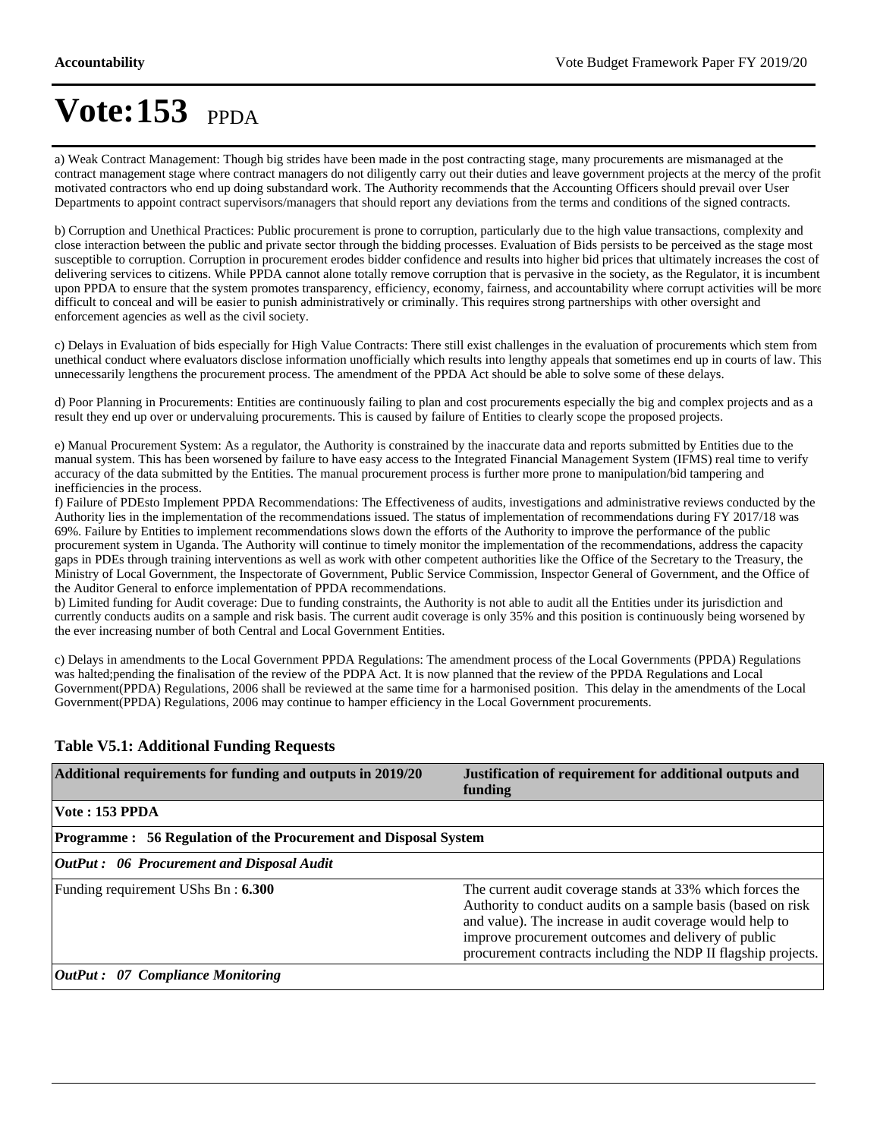a) Weak Contract Management: Though big strides have been made in the post contracting stage, many procurements are mismanaged at the contract management stage where contract managers do not diligently carry out their duties and leave government projects at the mercy of the profit motivated contractors who end up doing substandard work. The Authority recommends that the Accounting Officers should prevail over User Departments to appoint contract supervisors/managers that should report any deviations from the terms and conditions of the signed contracts.

b) Corruption and Unethical Practices: Public procurement is prone to corruption, particularly due to the high value transactions, complexity and close interaction between the public and private sector through the bidding processes. Evaluation of Bids persists to be perceived as the stage most susceptible to corruption. Corruption in procurement erodes bidder confidence and results into higher bid prices that ultimately increases the cost of delivering services to citizens. While PPDA cannot alone totally remove corruption that is pervasive in the society, as the Regulator, it is incumbent upon PPDA to ensure that the system promotes transparency, efficiency, economy, fairness, and accountability where corrupt activities will be more difficult to conceal and will be easier to punish administratively or criminally. This requires strong partnerships with other oversight and enforcement agencies as well as the civil society.

c) Delays in Evaluation of bids especially for High Value Contracts: There still exist challenges in the evaluation of procurements which stem from unethical conduct where evaluators disclose information unofficially which results into lengthy appeals that sometimes end up in courts of law. This unnecessarily lengthens the procurement process. The amendment of the PPDA Act should be able to solve some of these delays.

d) Poor Planning in Procurements: Entities are continuously failing to plan and cost procurements especially the big and complex projects and as a result they end up over or undervaluing procurements. This is caused by failure of Entities to clearly scope the proposed projects.

e) Manual Procurement System: As a regulator, the Authority is constrained by the inaccurate data and reports submitted by Entities due to the manual system. This has been worsened by failure to have easy access to the Integrated Financial Management System (IFMS) real time to verify accuracy of the data submitted by the Entities. The manual procurement process is further more prone to manipulation/bid tampering and inefficiencies in the process.

f) Failure of PDEsto Implement PPDA Recommendations: The Effectiveness of audits, investigations and administrative reviews conducted by the Authority lies in the implementation of the recommendations issued. The status of implementation of recommendations during FY 2017/18 was 69%. Failure by Entities to implement recommendations slows down the efforts of the Authority to improve the performance of the public procurement system in Uganda. The Authority will continue to timely monitor the implementation of the recommendations, address the capacity gaps in PDEs through training interventions as well as work with other competent authorities like the Office of the Secretary to the Treasury, the Ministry of Local Government, the Inspectorate of Government, Public Service Commission, Inspector General of Government, and the Office of the Auditor General to enforce implementation of PPDA recommendations.

b) Limited funding for Audit coverage: Due to funding constraints, the Authority is not able to audit all the Entities under its jurisdiction and currently conducts audits on a sample and risk basis. The current audit coverage is only 35% and this position is continuously being worsened by the ever increasing number of both Central and Local Government Entities.

c) Delays in amendments to the Local Government PPDA Regulations: The amendment process of the Local Governments (PPDA) Regulations was halted;pending the finalisation of the review of the PDPA Act. It is now planned that the review of the PPDA Regulations and Local Government(PPDA) Regulations, 2006 shall be reviewed at the same time for a harmonised position. This delay in the amendments of the Local Government(PPDA) Regulations, 2006 may continue to hamper efficiency in the Local Government procurements.

| Additional requirements for funding and outputs in 2019/20      | Justification of requirement for additional outputs and<br>funding                                                                                                                                                                                                                                            |
|-----------------------------------------------------------------|---------------------------------------------------------------------------------------------------------------------------------------------------------------------------------------------------------------------------------------------------------------------------------------------------------------|
| Vote: 153 PPDA                                                  |                                                                                                                                                                                                                                                                                                               |
| Programme: 56 Regulation of the Procurement and Disposal System |                                                                                                                                                                                                                                                                                                               |
| <b>OutPut: 06 Procurement and Disposal Audit</b>                |                                                                                                                                                                                                                                                                                                               |
| Funding requirement UShs Bn: 6.300                              | The current audit coverage stands at 33% which forces the<br>Authority to conduct audits on a sample basis (based on risk<br>and value). The increase in audit coverage would help to<br>improve procurement outcomes and delivery of public<br>procurement contracts including the NDP II flagship projects. |
| <b>OutPut : 07 Compliance Monitoring</b>                        |                                                                                                                                                                                                                                                                                                               |

## **Table V5.1: Additional Funding Requests**